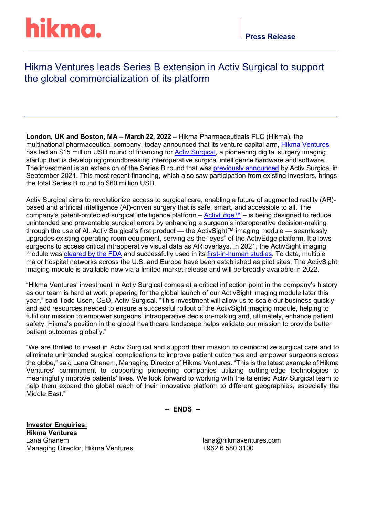# hikma.

### Hikma Ventures leads Series B extension in Activ Surgical to support the global commercialization of its platform

**London, UK and Boston, MA** – **March 22, 2022** – Hikma Pharmaceuticals PLC (Hikma), the multinational pharmaceutical company, today announced that its venture capital arm, [Hikma Ventures](https://www.hikmaventures.com/home/) has led an \$15 million USD round of financing for **Activ Surgical**, a pioneering digital surgery imaging startup that is developing groundbreaking interoperative surgical intelligence hardware and software. The investment is an extension of the Series B round that was [previously announced](https://www.activsurgical.com/news/activ-surgical-secures-45-million-in-series-b-funding-led-by-cota-capital) by Activ Surgical in September 2021. This most recent financing, which also saw participation from existing investors, brings the total Series B round to \$60 million USD.

Activ Surgical aims to revolutionize access to surgical care, enabling a future of augmented reality (AR) based and artificial intelligence (AI)-driven surgery that is safe, smart, and accessible to all. The company's patent-protected surgical intelligence platform – [ActivEdge™](https://www.activsurgical.com/#Technology) – is being designed to reduce unintended and preventable surgical errors by enhancing a surgeon's interoperative decision-making through the use of AI. Activ Surgical's first product — the ActivSight™ imaging module — seamlessly upgrades existing operating room equipment, serving as the "eyes" of the ActivEdge platform. It allows surgeons to access critical intraoperative visual data as AR overlays. In 2021, the ActivSight imaging module was [cleared by the FDA](https://www.activsurgical.com/news/fda-clearance) and successfully used in its [first-in-human studies.](https://www.activsurgical.com/news/activ-surgical-completes-first-in-human-procedures-to-demonstrate-impact-of-its-surgical-intelligence-and-sensing-platform) To date, multiple major hospital networks across the U.S. and Europe have been established as pilot sites. The ActivSight imaging module is available now via a limited market release and will be broadly available in 2022.

"Hikma Ventures' investment in Activ Surgical comes at a critical inflection point in the company's history as our team is hard at work preparing for the global launch of our ActivSight imaging module later this year," said Todd Usen, CEO, Activ Surgical. "This investment will allow us to scale our business quickly and add resources needed to ensure a successful rollout of the ActivSight imaging module, helping to fulfil our mission to empower surgeons' intraoperative decision-making and, ultimately, enhance patient safety. Hikma's position in the global healthcare landscape helps validate our mission to provide better patient outcomes globally."

"We are thrilled to invest in Activ Surgical and support their mission to democratize surgical care and to eliminate unintended surgical complications to improve patient outcomes and empower surgeons across the globe," said Lana Ghanem, Managing Director of Hikma Ventures. "This is the latest example of Hikma Ventures' commitment to supporting pioneering companies utilizing cutting-edge technologies to meaningfully improve patients' lives. We look forward to working with the talented Activ Surgical team to help them expand the global reach of their innovative platform to different geographies, especially the Middle East."

-- **ENDS --**

**Investor Enquiries: Hikma Ventures** Managing Director, Hikma Ventures +962 6 580 3100

lana@hikmaventures.com